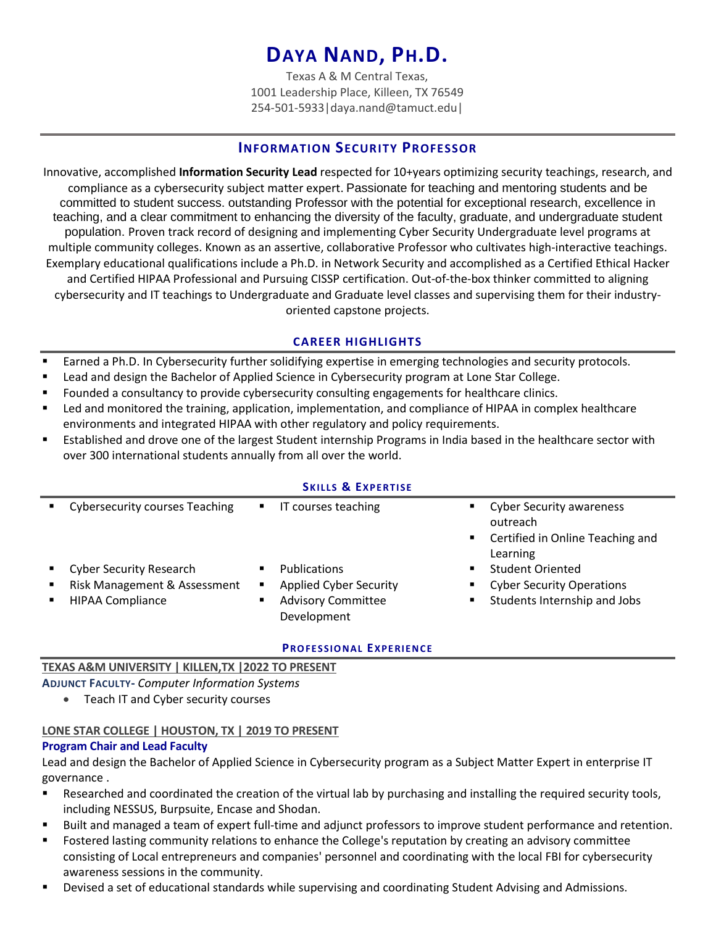# **DAYA NAND, PH.D.**

Texas A & M Central Texas, 1001 Leadership Place, Killeen, TX 76549 254-501-5933|daya.nand@tamuct.edu|

# **INFORMATION SECURITY PROFESSOR**

Innovative, accomplished **Information Security Lead** respected for 10+years optimizing security teachings, research, and compliance as a cybersecurity subject matter expert. Passionate for teaching and mentoring students and be committed to student success. outstanding Professor with the potential for exceptional research, excellence in teaching, and a clear commitment to enhancing the diversity of the faculty, graduate, and undergraduate student population. Proven track record of designing and implementing Cyber Security Undergraduate level programs at multiple community colleges. Known as an assertive, collaborative Professor who cultivates high-interactive teachings. Exemplary educational qualifications include a Ph.D. in Network Security and accomplished as a Certified Ethical Hacker and Certified HIPAA Professional and Pursuing CISSP certification. Out-of-the-box thinker committed to aligning cybersecurity and IT teachings to Undergraduate and Graduate level classes and supervising them for their industryoriented capstone projects.

# **CAREER HIGHLIGHTS**

- **Earned a Ph.D. In Cybersecurity further solidifying expertise in emerging technologies and security protocols.**
- Lead and design the Bachelor of Applied Science in Cybersecurity program at Lone Star College.
- Founded a consultancy to provide cybersecurity consulting engagements for healthcare clinics.
- Led and monitored the training, application, implementation, and compliance of HIPAA in complex healthcare environments and integrated HIPAA with other regulatory and policy requirements.
- Established and drove one of the largest Student internship Programs in India based in the healthcare sector with over 300 international students annually from all over the world.

#### **SKILLS & EXPERTISE**

| <b>Cybersecurity courses Teaching</b>                                                     | $\blacksquare$ | IT courses teaching                                                                              |        | <b>Cyber Security awareness</b><br>outreach<br>• Certified in Online Teaching and<br>Learning |
|-------------------------------------------------------------------------------------------|----------------|--------------------------------------------------------------------------------------------------|--------|-----------------------------------------------------------------------------------------------|
| <b>Cyber Security Research</b><br>Risk Management & Assessment<br><b>HIPAA Compliance</b> | ٠<br>٠         | <b>Publications</b><br><b>Applied Cyber Security</b><br><b>Advisory Committee</b><br>Development | ٠<br>٠ | <b>Student Oriented</b><br><b>Cyber Security Operations</b><br>Students Internship and Jobs   |

#### **PRO FES SIO N AL EXPE RIE N CE**

#### **TEXAS A&M UNIVERSITY | KILLEN,TX |2022 TO PRESENT**

**ADJUNCT FACULTY-** *Computer Information Systems*

• Teach IT and Cyber security courses

# **LONE STAR COLLEGE | HOUSTON, TX | 2019 TO PRESENT**

#### **Program Chair and Lead Faculty**

Lead and design the Bachelor of Applied Science in Cybersecurity program as a Subject Matter Expert in enterprise IT governance .

- Researched and coordinated the creation of the virtual lab by purchasing and installing the required security tools, including NESSUS, Burpsuite, Encase and Shodan.
- Built and managed a team of expert full-time and adjunct professors to improve student performance and retention.
- Fostered lasting community relations to enhance the College's reputation by creating an advisory committee consisting of Local entrepreneurs and companies' personnel and coordinating with the local FBI for cybersecurity awareness sessions in the community.
- Devised a set of educational standards while supervising and coordinating Student Advising and Admissions.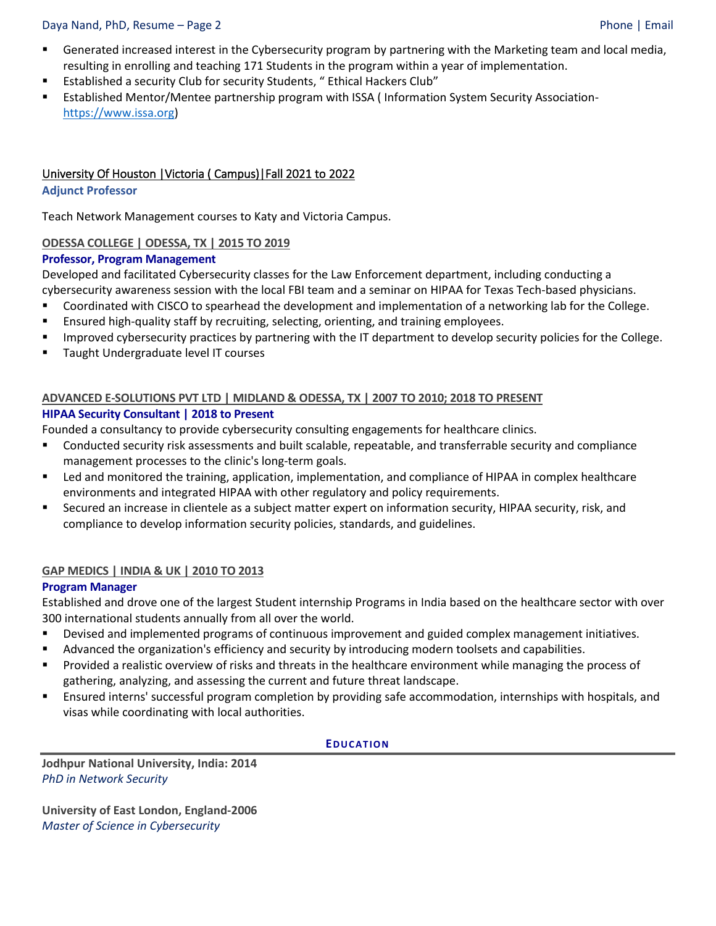#### Daya Nand, PhD, Resume – Page 2 Phone | Email

- **■** Generated increased interest in the Cybersecurity program by partnering with the Marketing team and local media, resulting in enrolling and teaching 171 Students in the program within a year of implementation.
- Established a security Club for security Students, "Ethical Hackers Club"
- Established Mentor/Mentee partnership program with ISSA (Information System Security Association[https://www.issa.org\)](https://www.issa.org/)

# University Of Houston |Victoria ( Campus)|Fall 2021 to 2022

#### **Adjunct Professor**

Teach Network Management courses to Katy and Victoria Campus.

# **ODESSA COLLEGE | ODESSA, TX | 2015 TO 2019**

#### **Professor, Program Management**

Developed and facilitated Cybersecurity classes for the Law Enforcement department, including conducting a cybersecurity awareness session with the local FBI team and a seminar on HIPAA for Texas Tech-based physicians.

- Coordinated with CISCO to spearhead the development and implementation of a networking lab for the College.
- **E** Ensured high-quality staff by recruiting, selecting, orienting, and training employees.
- **■** Improved cybersecurity practices by partnering with the IT department to develop security policies for the College.
- Taught Undergraduate level IT courses

#### **ADVANCED E-SOLUTIONS PVT LTD | MIDLAND & ODESSA, TX | 2007 TO 2010; 2018 TO PRESENT HIPAA Security Consultant | 2018 to Present**

Founded a consultancy to provide cybersecurity consulting engagements for healthcare clinics.

- Conducted security risk assessments and built scalable, repeatable, and transferrable security and compliance management processes to the clinic's long-term goals.
- Led and monitored the training, application, implementation, and compliance of HIPAA in complex healthcare environments and integrated HIPAA with other regulatory and policy requirements.
- **EXECUTED And Increase in clientele as a subject matter expert on information security, HIPAA security, risk, and** compliance to develop information security policies, standards, and guidelines.

# **GAP MEDICS | INDIA & UK | 2010 TO 2013**

# **Program Manager**

Established and drove one of the largest Student internship Programs in India based on the healthcare sector with over 300 international students annually from all over the world.

- Devised and implemented programs of continuous improvement and guided complex management initiatives.
- Advanced the organization's efficiency and security by introducing modern toolsets and capabilities.
- Provided a realistic overview of risks and threats in the healthcare environment while managing the process of gathering, analyzing, and assessing the current and future threat landscape.
- Ensured interns' successful program completion by providing safe accommodation, internships with hospitals, and visas while coordinating with local authorities.

#### EDUCATION

**Jodhpur National University, India: 2014** *PhD in Network Security*

**University of East London, England-2006** *Master of Science in Cybersecurity*